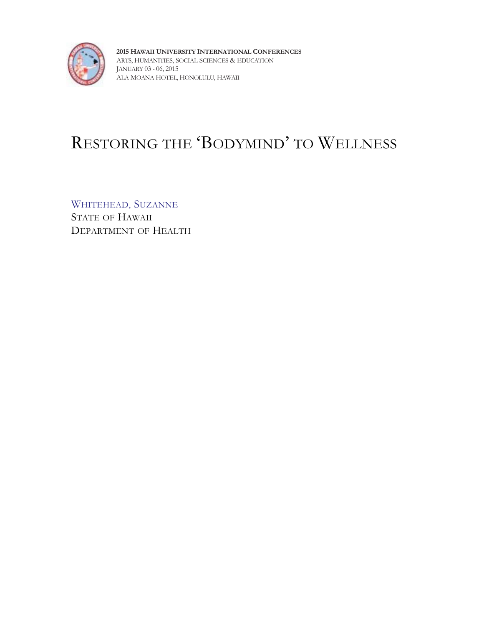

**2015 HAWAII UNIVERSITY INTERNATIONAL CONFERENCES** ARTS, HUMANITIES, SOCIAL SCIENCES & EDUCATION JANUARY 03 - 06, 2015 ALA MOANA HOTEL, HONOLULU, HAWAII

# RESTORING THE 'BODYMIND' TO WELLNESS

WHITEHEAD, SUZANNE STATE OF HAWAII DEPARTMENT OF HEALTH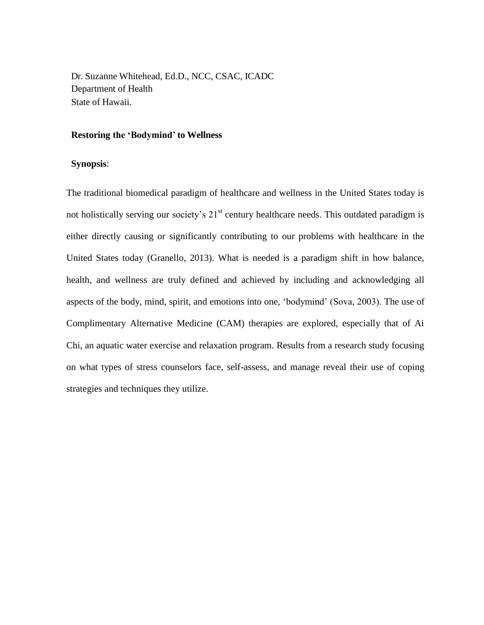Dr. Suzanne Whitehead, Ed.D., NCC, CSAC, ICADC Department of Health State of Hawaii.

## **Restoring the 'Bodymind' to Wellness**

## **Synopsis**:

The traditional biomedical paradigm of healthcare and wellness in the United States today is not holistically serving our society's  $21<sup>st</sup>$  century healthcare needs. This outdated paradigm is either directly causing or significantly contributing to our problems with healthcare in the United States today (Granello, 2013). What is needed is a paradigm shift in how balance, health, and wellness are truly defined and achieved by including and acknowledging all aspects of the body, mind, spirit, and emotions into one, 'bodymind' (Sova, 2003). The use of Complimentary Alternative Medicine (CAM) therapies are explored, especially that of Ai Chi, an aquatic water exercise and relaxation program. Results from a research study focusing on what types of stress counselors face, self-assess, and manage reveal their use of coping strategies and techniques they utilize.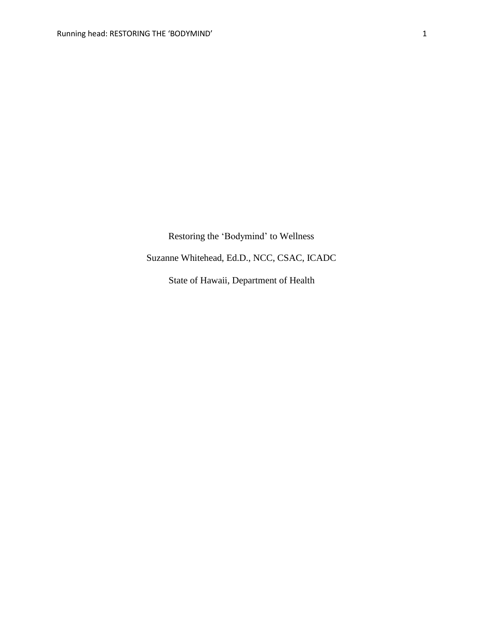Restoring the 'Bodymind' to Wellness

Suzanne Whitehead, Ed.D., NCC, CSAC, ICADC

State of Hawaii, Department of Health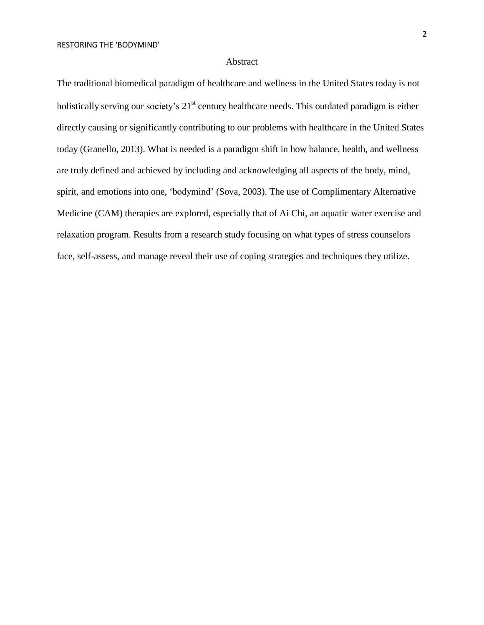## Abstract

The traditional biomedical paradigm of healthcare and wellness in the United States today is not holistically serving our society's  $21<sup>st</sup>$  century healthcare needs. This outdated paradigm is either directly causing or significantly contributing to our problems with healthcare in the United States today (Granello, 2013). What is needed is a paradigm shift in how balance, health, and wellness are truly defined and achieved by including and acknowledging all aspects of the body, mind, spirit, and emotions into one, 'bodymind' (Sova, 2003). The use of Complimentary Alternative Medicine (CAM) therapies are explored, especially that of Ai Chi, an aquatic water exercise and relaxation program. Results from a research study focusing on what types of stress counselors face, self-assess, and manage reveal their use of coping strategies and techniques they utilize.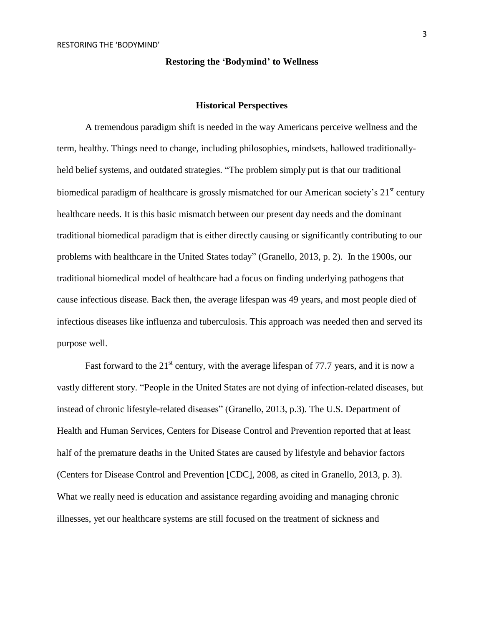#### **Restoring the 'Bodymind' to Wellness**

## **Historical Perspectives**

A tremendous paradigm shift is needed in the way Americans perceive wellness and the term, healthy. Things need to change, including philosophies, mindsets, hallowed traditionallyheld belief systems, and outdated strategies. "The problem simply put is that our traditional biomedical paradigm of healthcare is grossly mismatched for our American society's 21<sup>st</sup> century healthcare needs. It is this basic mismatch between our present day needs and the dominant traditional biomedical paradigm that is either directly causing or significantly contributing to our problems with healthcare in the United States today" (Granello, 2013, p. 2). In the 1900s, our traditional biomedical model of healthcare had a focus on finding underlying pathogens that cause infectious disease. Back then, the average lifespan was 49 years, and most people died of infectious diseases like influenza and tuberculosis. This approach was needed then and served its purpose well.

Fast forward to the  $21<sup>st</sup>$  century, with the average lifespan of 77.7 years, and it is now a vastly different story. "People in the United States are not dying of infection-related diseases, but instead of chronic lifestyle-related diseases" (Granello, 2013, p.3). The U.S. Department of Health and Human Services, Centers for Disease Control and Prevention reported that at least half of the premature deaths in the United States are caused by lifestyle and behavior factors (Centers for Disease Control and Prevention [CDC], 2008, as cited in Granello, 2013, p. 3). What we really need is education and assistance regarding avoiding and managing chronic illnesses, yet our healthcare systems are still focused on the treatment of sickness and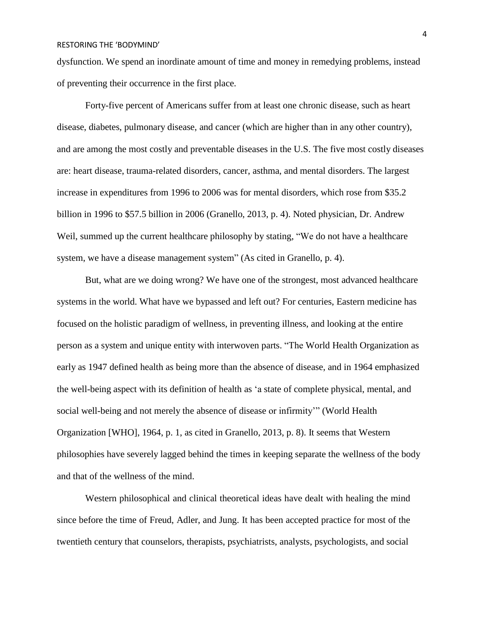dysfunction. We spend an inordinate amount of time and money in remedying problems, instead of preventing their occurrence in the first place.

Forty-five percent of Americans suffer from at least one chronic disease, such as heart disease, diabetes, pulmonary disease, and cancer (which are higher than in any other country), and are among the most costly and preventable diseases in the U.S. The five most costly diseases are: heart disease, trauma-related disorders, cancer, asthma, and mental disorders. The largest increase in expenditures from 1996 to 2006 was for mental disorders, which rose from \$35.2 billion in 1996 to \$57.5 billion in 2006 (Granello, 2013, p. 4). Noted physician, Dr. Andrew Weil, summed up the current healthcare philosophy by stating, "We do not have a healthcare system, we have a disease management system" (As cited in Granello, p. 4).

But, what are we doing wrong? We have one of the strongest, most advanced healthcare systems in the world. What have we bypassed and left out? For centuries, Eastern medicine has focused on the holistic paradigm of wellness, in preventing illness, and looking at the entire person as a system and unique entity with interwoven parts. "The World Health Organization as early as 1947 defined health as being more than the absence of disease, and in 1964 emphasized the well-being aspect with its definition of health as 'a state of complete physical, mental, and social well-being and not merely the absence of disease or infirmity'" (World Health Organization [WHO], 1964, p. 1, as cited in Granello, 2013, p. 8). It seems that Western philosophies have severely lagged behind the times in keeping separate the wellness of the body and that of the wellness of the mind.

Western philosophical and clinical theoretical ideas have dealt with healing the mind since before the time of Freud, Adler, and Jung. It has been accepted practice for most of the twentieth century that counselors, therapists, psychiatrists, analysts, psychologists, and social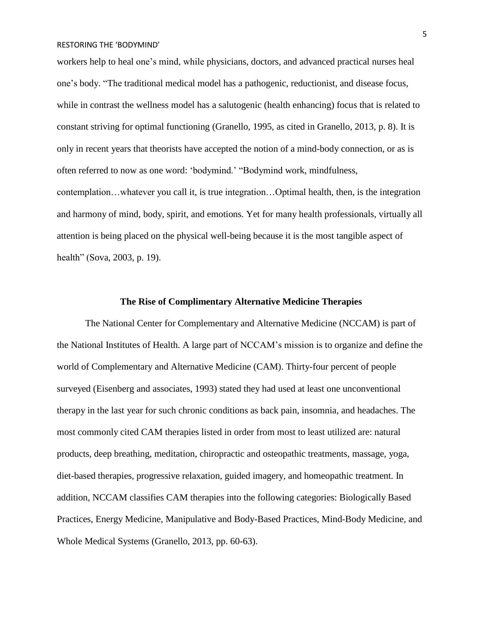workers help to heal one's mind, while physicians, doctors, and advanced practical nurses heal one's body. "The traditional medical model has a pathogenic, reductionist, and disease focus, while in contrast the wellness model has a salutogenic (health enhancing) focus that is related to constant striving for optimal functioning (Granello, 1995, as cited in Granello, 2013, p. 8). It is only in recent years that theorists have accepted the notion of a mind-body connection, or as is often referred to now as one word: 'bodymind.' "Bodymind work, mindfulness, contemplation…whatever you call it, is true integration…Optimal health, then, is the integration and harmony of mind, body, spirit, and emotions. Yet for many health professionals, virtually all attention is being placed on the physical well-being because it is the most tangible aspect of health" (Sova, 2003, p. 19).

## **The Rise of Complimentary Alternative Medicine Therapies**

The National Center for Complementary and Alternative Medicine (NCCAM) is part of the National Institutes of Health. A large part of NCCAM's mission is to organize and define the world of Complementary and Alternative Medicine (CAM). Thirty-four percent of people surveyed (Eisenberg and associates, 1993) stated they had used at least one unconventional therapy in the last year for such chronic conditions as back pain, insomnia, and headaches. The most commonly cited CAM therapies listed in order from most to least utilized are: natural products, deep breathing, meditation, chiropractic and osteopathic treatments, massage, yoga, diet-based therapies, progressive relaxation, guided imagery, and homeopathic treatment. In addition, NCCAM classifies CAM therapies into the following categories: Biologically Based Practices, Energy Medicine, Manipulative and Body-Based Practices, Mind-Body Medicine, and Whole Medical Systems (Granello, 2013, pp. 60-63).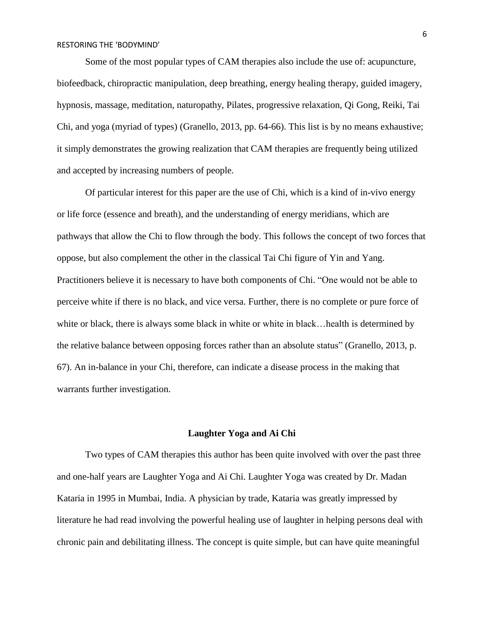Some of the most popular types of CAM therapies also include the use of: acupuncture, biofeedback, chiropractic manipulation, deep breathing, energy healing therapy, guided imagery, hypnosis, massage, meditation, naturopathy, Pilates, progressive relaxation, Qi Gong, Reiki, Tai Chi, and yoga (myriad of types) (Granello, 2013, pp. 64-66). This list is by no means exhaustive; it simply demonstrates the growing realization that CAM therapies are frequently being utilized and accepted by increasing numbers of people.

Of particular interest for this paper are the use of Chi, which is a kind of in-vivo energy or life force (essence and breath), and the understanding of energy meridians, which are pathways that allow the Chi to flow through the body. This follows the concept of two forces that oppose, but also complement the other in the classical Tai Chi figure of Yin and Yang. Practitioners believe it is necessary to have both components of Chi. "One would not be able to perceive white if there is no black, and vice versa. Further, there is no complete or pure force of white or black, there is always some black in white or white in black... health is determined by the relative balance between opposing forces rather than an absolute status" (Granello, 2013, p. 67). An in-balance in your Chi, therefore, can indicate a disease process in the making that warrants further investigation.

#### **Laughter Yoga and Ai Chi**

Two types of CAM therapies this author has been quite involved with over the past three and one-half years are Laughter Yoga and Ai Chi. Laughter Yoga was created by Dr. Madan Kataria in 1995 in Mumbai, India. A physician by trade, Kataria was greatly impressed by literature he had read involving the powerful healing use of laughter in helping persons deal with chronic pain and debilitating illness. The concept is quite simple, but can have quite meaningful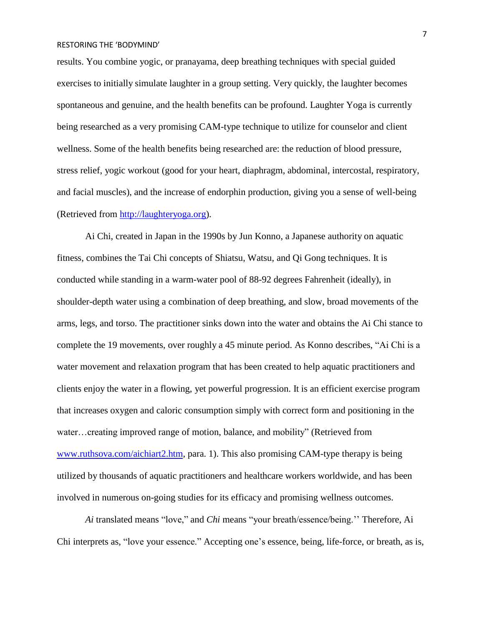results. You combine yogic, or pranayama, deep breathing techniques with special guided exercises to initially simulate laughter in a group setting. Very quickly, the laughter becomes spontaneous and genuine, and the health benefits can be profound. Laughter Yoga is currently being researched as a very promising CAM-type technique to utilize for counselor and client wellness. Some of the health benefits being researched are: the reduction of blood pressure, stress relief, yogic workout (good for your heart, diaphragm, abdominal, intercostal, respiratory, and facial muscles), and the increase of endorphin production, giving you a sense of well-being (Retrieved from [http://laughteryoga.org\)](http://laughteryoga.org/).

Ai Chi, created in Japan in the 1990s by Jun Konno, a Japanese authority on aquatic fitness, combines the Tai Chi concepts of Shiatsu, Watsu, and Qi Gong techniques. It is conducted while standing in a warm-water pool of 88-92 degrees Fahrenheit (ideally), in shoulder-depth water using a combination of deep breathing, and slow, broad movements of the arms, legs, and torso. The practitioner sinks down into the water and obtains the Ai Chi stance to complete the 19 movements, over roughly a 45 minute period. As Konno describes, "Ai Chi is a water movement and relaxation program that has been created to help aquatic practitioners and clients enjoy the water in a flowing, yet powerful progression. It is an efficient exercise program that increases oxygen and caloric consumption simply with correct form and positioning in the water…creating improved range of motion, balance, and mobility" (Retrieved from [www.ruthsova.com/aichiart2.htm,](http://www.ruthsova.com/aichiart2.htm) para. 1). This also promising CAM-type therapy is being utilized by thousands of aquatic practitioners and healthcare workers worldwide, and has been involved in numerous on-going studies for its efficacy and promising wellness outcomes.

*Ai* translated means "love," and *Chi* means "your breath/essence/being.'' Therefore, Ai Chi interprets as, "love your essence." Accepting one's essence, being, life-force, or breath, as is,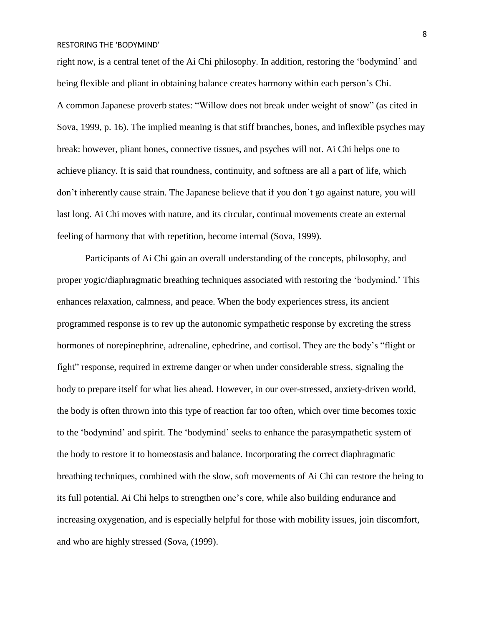right now, is a central tenet of the Ai Chi philosophy. In addition, restoring the 'bodymind' and being flexible and pliant in obtaining balance creates harmony within each person's Chi. A common Japanese proverb states: "Willow does not break under weight of snow" (as cited in Sova, 1999, p. 16). The implied meaning is that stiff branches, bones, and inflexible psyches may break: however, pliant bones, connective tissues, and psyches will not. Ai Chi helps one to achieve pliancy. It is said that roundness, continuity, and softness are all a part of life, which don't inherently cause strain. The Japanese believe that if you don't go against nature, you will last long. Ai Chi moves with nature, and its circular, continual movements create an external feeling of harmony that with repetition, become internal (Sova, 1999).

Participants of Ai Chi gain an overall understanding of the concepts, philosophy, and proper yogic/diaphragmatic breathing techniques associated with restoring the 'bodymind.' This enhances relaxation, calmness, and peace. When the body experiences stress, its ancient programmed response is to rev up the autonomic sympathetic response by excreting the stress hormones of norepinephrine, adrenaline, ephedrine, and cortisol. They are the body's "flight or fight" response, required in extreme danger or when under considerable stress, signaling the body to prepare itself for what lies ahead. However, in our over-stressed, anxiety-driven world, the body is often thrown into this type of reaction far too often, which over time becomes toxic to the 'bodymind' and spirit. The 'bodymind' seeks to enhance the parasympathetic system of the body to restore it to homeostasis and balance. Incorporating the correct diaphragmatic breathing techniques, combined with the slow, soft movements of Ai Chi can restore the being to its full potential. Ai Chi helps to strengthen one's core, while also building endurance and increasing oxygenation, and is especially helpful for those with mobility issues, join discomfort, and who are highly stressed (Sova, (1999).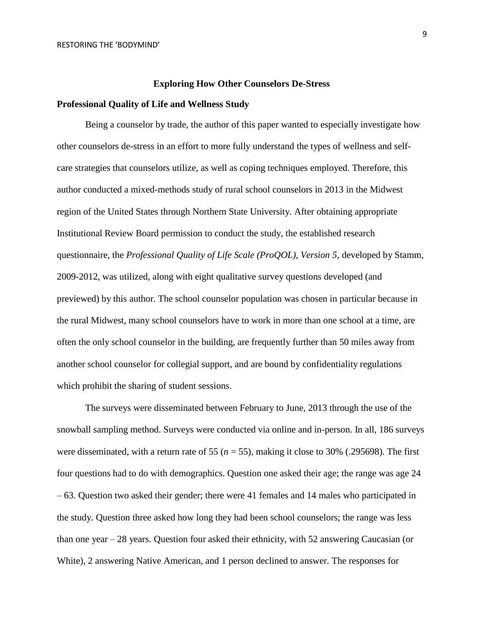#### **Exploring How Other Counselors De-Stress**

# **Professional Quality of Life and Wellness Study**

Being a counselor by trade, the author of this paper wanted to especially investigate how other counselors de-stress in an effort to more fully understand the types of wellness and selfcare strategies that counselors utilize, as well as coping techniques employed. Therefore, this author conducted a mixed-methods study of rural school counselors in 2013 in the Midwest region of the United States through Northern State University. After obtaining appropriate Institutional Review Board permission to conduct the study, the established research questionnaire, the *Professional Quality of Life Scale (ProQOL), Version 5,* developed by Stamm, 2009-2012, was utilized, along with eight qualitative survey questions developed (and previewed) by this author. The school counselor population was chosen in particular because in the rural Midwest, many school counselors have to work in more than one school at a time, are often the only school counselor in the building, are frequently further than 50 miles away from another school counselor for collegial support, and are bound by confidentiality regulations which prohibit the sharing of student sessions.

The surveys were disseminated between February to June, 2013 through the use of the snowball sampling method. Surveys were conducted via online and in-person. In all, 186 surveys were disseminated, with a return rate of 55 (*n* = 55), making it close to 30% (.295698). The first four questions had to do with demographics. Question one asked their age; the range was age 24 – 63. Question two asked their gender; there were 41 females and 14 males who participated in the study. Question three asked how long they had been school counselors; the range was less than one year – 28 years. Question four asked their ethnicity, with 52 answering Caucasian (or White), 2 answering Native American, and 1 person declined to answer. The responses for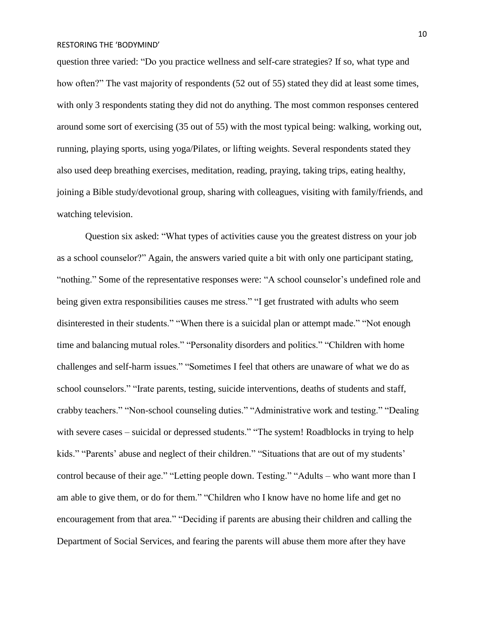question three varied: "Do you practice wellness and self-care strategies? If so, what type and how often?" The vast majority of respondents (52 out of 55) stated they did at least some times, with only 3 respondents stating they did not do anything. The most common responses centered around some sort of exercising (35 out of 55) with the most typical being: walking, working out, running, playing sports, using yoga/Pilates, or lifting weights. Several respondents stated they also used deep breathing exercises, meditation, reading, praying, taking trips, eating healthy, joining a Bible study/devotional group, sharing with colleagues, visiting with family/friends, and watching television.

Question six asked: "What types of activities cause you the greatest distress on your job as a school counselor?" Again, the answers varied quite a bit with only one participant stating, "nothing." Some of the representative responses were: "A school counselor's undefined role and being given extra responsibilities causes me stress." "I get frustrated with adults who seem disinterested in their students." "When there is a suicidal plan or attempt made." "Not enough time and balancing mutual roles." "Personality disorders and politics." "Children with home challenges and self-harm issues." "Sometimes I feel that others are unaware of what we do as school counselors." "Irate parents, testing, suicide interventions, deaths of students and staff, crabby teachers." "Non-school counseling duties." "Administrative work and testing." "Dealing with severe cases – suicidal or depressed students." "The system! Roadblocks in trying to help kids." "Parents' abuse and neglect of their children." "Situations that are out of my students' control because of their age." "Letting people down. Testing." "Adults – who want more than I am able to give them, or do for them." "Children who I know have no home life and get no encouragement from that area." "Deciding if parents are abusing their children and calling the Department of Social Services, and fearing the parents will abuse them more after they have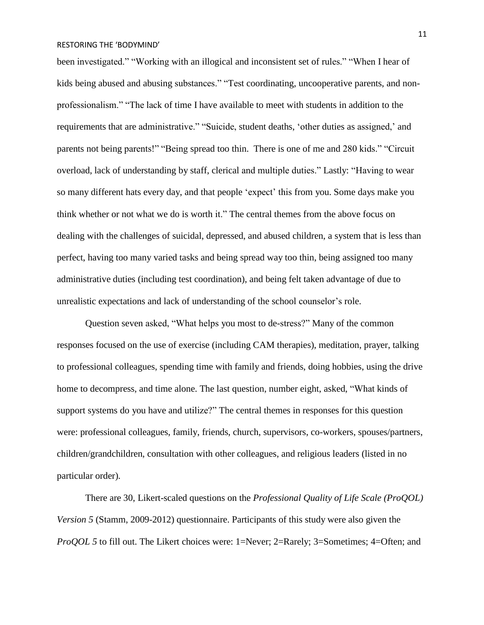been investigated." "Working with an illogical and inconsistent set of rules." "When I hear of kids being abused and abusing substances." "Test coordinating, uncooperative parents, and nonprofessionalism." "The lack of time I have available to meet with students in addition to the requirements that are administrative." "Suicide, student deaths, 'other duties as assigned,' and parents not being parents!" "Being spread too thin. There is one of me and 280 kids." "Circuit overload, lack of understanding by staff, clerical and multiple duties." Lastly: "Having to wear so many different hats every day, and that people 'expect' this from you. Some days make you think whether or not what we do is worth it." The central themes from the above focus on dealing with the challenges of suicidal, depressed, and abused children, a system that is less than perfect, having too many varied tasks and being spread way too thin, being assigned too many administrative duties (including test coordination), and being felt taken advantage of due to unrealistic expectations and lack of understanding of the school counselor's role.

Question seven asked, "What helps you most to de-stress?" Many of the common responses focused on the use of exercise (including CAM therapies), meditation, prayer, talking to professional colleagues, spending time with family and friends, doing hobbies, using the drive home to decompress, and time alone. The last question, number eight, asked, "What kinds of support systems do you have and utilize?" The central themes in responses for this question were: professional colleagues, family, friends, church, supervisors, co-workers, spouses/partners, children/grandchildren, consultation with other colleagues, and religious leaders (listed in no particular order).

There are 30, Likert-scaled questions on the *Professional Quality of Life Scale (ProQOL) Version 5* (Stamm, 2009-2012) questionnaire. Participants of this study were also given the *ProQOL 5* to fill out. The Likert choices were: 1=Never; 2=Rarely; 3=Sometimes; 4=Often; and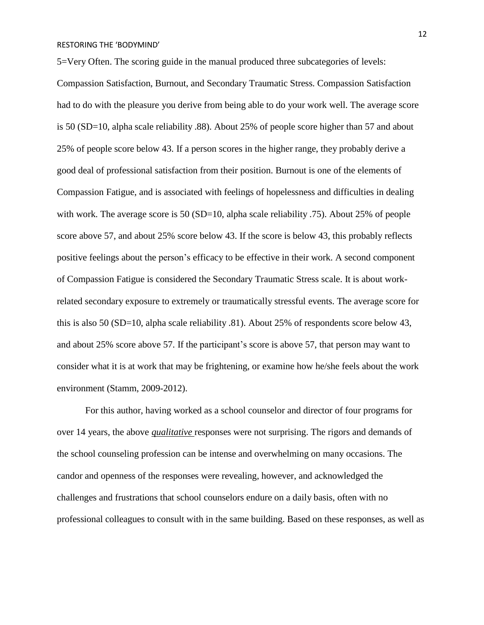5=Very Often. The scoring guide in the manual produced three subcategories of levels:

Compassion Satisfaction, Burnout, and Secondary Traumatic Stress. Compassion Satisfaction had to do with the pleasure you derive from being able to do your work well. The average score is 50 (SD=10, alpha scale reliability .88). About 25% of people score higher than 57 and about 25% of people score below 43. If a person scores in the higher range, they probably derive a good deal of professional satisfaction from their position. Burnout is one of the elements of Compassion Fatigue, and is associated with feelings of hopelessness and difficulties in dealing with work. The average score is 50 (SD=10, alpha scale reliability .75). About 25% of people score above 57, and about 25% score below 43. If the score is below 43, this probably reflects positive feelings about the person's efficacy to be effective in their work. A second component of Compassion Fatigue is considered the Secondary Traumatic Stress scale. It is about workrelated secondary exposure to extremely or traumatically stressful events. The average score for this is also 50 (SD=10, alpha scale reliability .81). About 25% of respondents score below 43, and about 25% score above 57. If the participant's score is above 57, that person may want to consider what it is at work that may be frightening, or examine how he/she feels about the work environment (Stamm, 2009-2012).

For this author, having worked as a school counselor and director of four programs for over 14 years, the above *qualitative* responses were not surprising. The rigors and demands of the school counseling profession can be intense and overwhelming on many occasions. The candor and openness of the responses were revealing, however, and acknowledged the challenges and frustrations that school counselors endure on a daily basis, often with no professional colleagues to consult with in the same building. Based on these responses, as well as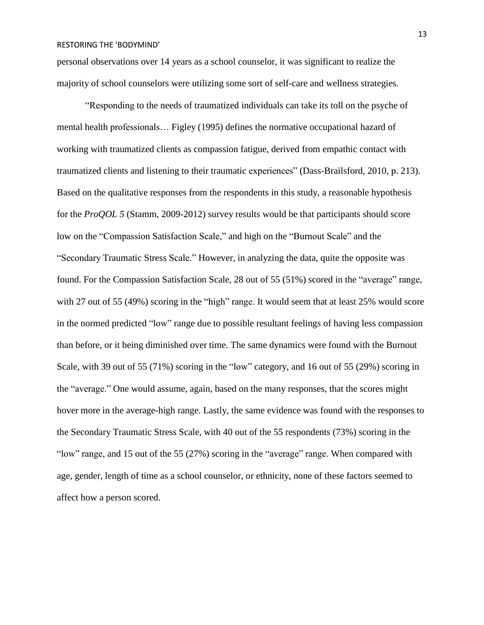personal observations over 14 years as a school counselor, it was significant to realize the majority of school counselors were utilizing some sort of self-care and wellness strategies.

"Responding to the needs of traumatized individuals can take its toll on the psyche of mental health professionals… Figley (1995) defines the normative occupational hazard of working with traumatized clients as compassion fatigue, derived from empathic contact with traumatized clients and listening to their traumatic experiences" (Dass-Brailsford, 2010, p. 213). Based on the qualitative responses from the respondents in this study, a reasonable hypothesis for the *ProQOL 5* (Stamm, 2009-2012) survey results would be that participants should score low on the "Compassion Satisfaction Scale," and high on the "Burnout Scale" and the "Secondary Traumatic Stress Scale." However, in analyzing the data, quite the opposite was found. For the Compassion Satisfaction Scale, 28 out of 55 (51%) scored in the "average" range, with 27 out of 55 (49%) scoring in the "high" range. It would seem that at least 25% would score in the normed predicted "low" range due to possible resultant feelings of having less compassion than before, or it being diminished over time. The same dynamics were found with the Burnout Scale, with 39 out of 55 (71%) scoring in the "low" category, and 16 out of 55 (29%) scoring in the "average." One would assume, again, based on the many responses, that the scores might hover more in the average-high range. Lastly, the same evidence was found with the responses to the Secondary Traumatic Stress Scale, with 40 out of the 55 respondents (73%) scoring in the "low" range, and 15 out of the 55 (27%) scoring in the "average" range. When compared with age, gender, length of time as a school counselor, or ethnicity, none of these factors seemed to affect how a person scored.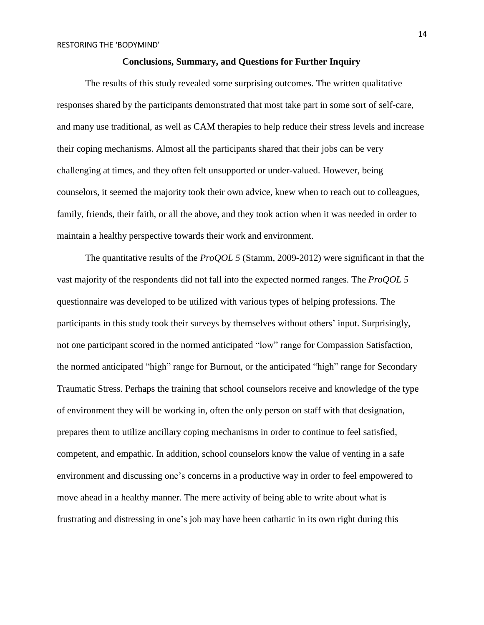## **Conclusions, Summary, and Questions for Further Inquiry**

The results of this study revealed some surprising outcomes. The written qualitative responses shared by the participants demonstrated that most take part in some sort of self-care, and many use traditional, as well as CAM therapies to help reduce their stress levels and increase their coping mechanisms. Almost all the participants shared that their jobs can be very challenging at times, and they often felt unsupported or under-valued. However, being counselors, it seemed the majority took their own advice, knew when to reach out to colleagues, family, friends, their faith, or all the above, and they took action when it was needed in order to maintain a healthy perspective towards their work and environment.

The quantitative results of the *ProQOL 5* (Stamm, 2009-2012) were significant in that the vast majority of the respondents did not fall into the expected normed ranges. The *ProQOL 5* questionnaire was developed to be utilized with various types of helping professions. The participants in this study took their surveys by themselves without others' input. Surprisingly, not one participant scored in the normed anticipated "low" range for Compassion Satisfaction, the normed anticipated "high" range for Burnout, or the anticipated "high" range for Secondary Traumatic Stress. Perhaps the training that school counselors receive and knowledge of the type of environment they will be working in, often the only person on staff with that designation, prepares them to utilize ancillary coping mechanisms in order to continue to feel satisfied, competent, and empathic. In addition, school counselors know the value of venting in a safe environment and discussing one's concerns in a productive way in order to feel empowered to move ahead in a healthy manner. The mere activity of being able to write about what is frustrating and distressing in one's job may have been cathartic in its own right during this